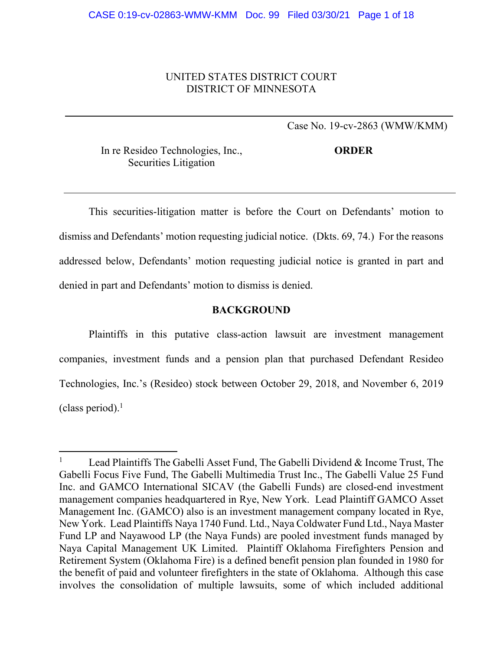# UNITED STATES DISTRICT COURT DISTRICT OF MINNESOTA

Case No. 19-cv-2863 (WMW/KMM)

In re Resideo Technologies, Inc., Securities Litigation

**ORDER**

 This securities-litigation matter is before the Court on Defendants' motion to dismiss and Defendants' motion requesting judicial notice. (Dkts. 69, 74.) For the reasons addressed below, Defendants' motion requesting judicial notice is granted in part and denied in part and Defendants' motion to dismiss is denied.

### **BACKGROUND**

Plaintiffs in this putative class-action lawsuit are investment management companies, investment funds and a pension plan that purchased Defendant Resideo Technologies, Inc.'s (Resideo) stock between October 29, 2018, and November 6, 2019 (class period). $<sup>1</sup>$ </sup>

<sup>1</sup> Lead Plaintiffs The Gabelli Asset Fund, The Gabelli Dividend & Income Trust, The Gabelli Focus Five Fund, The Gabelli Multimedia Trust Inc., The Gabelli Value 25 Fund Inc. and GAMCO International SICAV (the Gabelli Funds) are closed-end investment management companies headquartered in Rye, New York. Lead Plaintiff GAMCO Asset Management Inc. (GAMCO) also is an investment management company located in Rye, New York. Lead Plaintiffs Naya 1740 Fund. Ltd., Naya Coldwater Fund Ltd., Naya Master Fund LP and Nayawood LP (the Naya Funds) are pooled investment funds managed by Naya Capital Management UK Limited. Plaintiff Oklahoma Firefighters Pension and Retirement System (Oklahoma Fire) is a defined benefit pension plan founded in 1980 for the benefit of paid and volunteer firefighters in the state of Oklahoma. Although this case involves the consolidation of multiple lawsuits, some of which included additional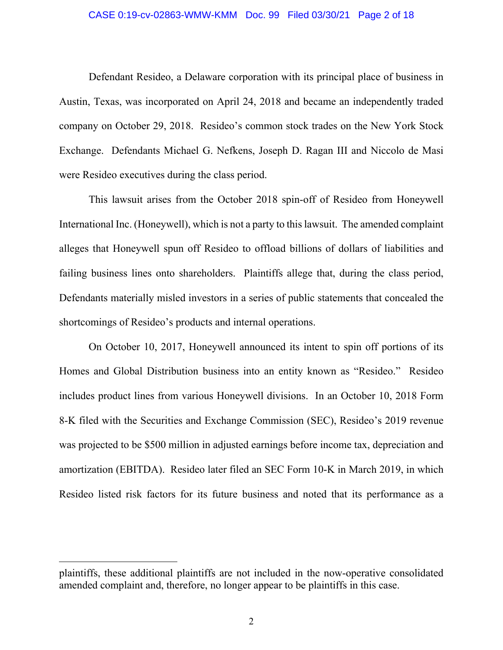#### CASE 0:19-cv-02863-WMW-KMM Doc. 99 Filed 03/30/21 Page 2 of 18

Defendant Resideo, a Delaware corporation with its principal place of business in Austin, Texas, was incorporated on April 24, 2018 and became an independently traded company on October 29, 2018. Resideo's common stock trades on the New York Stock Exchange. Defendants Michael G. Nefkens, Joseph D. Ragan III and Niccolo de Masi were Resideo executives during the class period.

This lawsuit arises from the October 2018 spin-off of Resideo from Honeywell International Inc. (Honeywell), which is not a party to this lawsuit. The amended complaint alleges that Honeywell spun off Resideo to offload billions of dollars of liabilities and failing business lines onto shareholders. Plaintiffs allege that, during the class period, Defendants materially misled investors in a series of public statements that concealed the shortcomings of Resideo's products and internal operations.

On October 10, 2017, Honeywell announced its intent to spin off portions of its Homes and Global Distribution business into an entity known as "Resideo." Resideo includes product lines from various Honeywell divisions. In an October 10, 2018 Form 8-K filed with the Securities and Exchange Commission (SEC), Resideo's 2019 revenue was projected to be \$500 million in adjusted earnings before income tax, depreciation and amortization (EBITDA). Resideo later filed an SEC Form 10-K in March 2019, in which Resideo listed risk factors for its future business and noted that its performance as a

plaintiffs, these additional plaintiffs are not included in the now-operative consolidated amended complaint and, therefore, no longer appear to be plaintiffs in this case.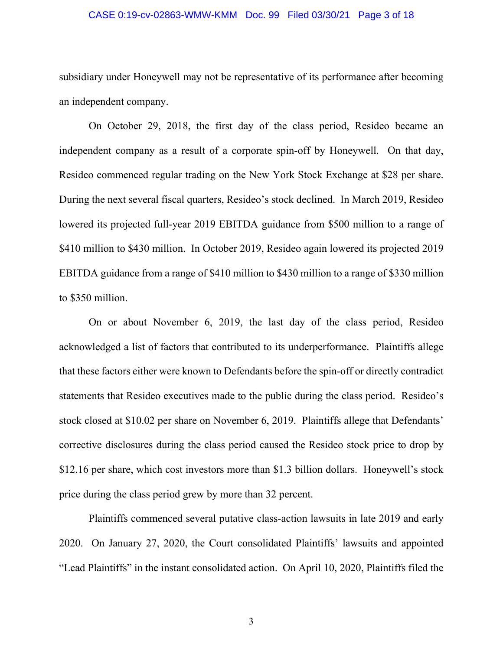#### CASE 0:19-cv-02863-WMW-KMM Doc. 99 Filed 03/30/21 Page 3 of 18

subsidiary under Honeywell may not be representative of its performance after becoming an independent company.

On October 29, 2018, the first day of the class period, Resideo became an independent company as a result of a corporate spin-off by Honeywell. On that day, Resideo commenced regular trading on the New York Stock Exchange at \$28 per share. During the next several fiscal quarters, Resideo's stock declined. In March 2019, Resideo lowered its projected full-year 2019 EBITDA guidance from \$500 million to a range of \$410 million to \$430 million. In October 2019, Resideo again lowered its projected 2019 EBITDA guidance from a range of \$410 million to \$430 million to a range of \$330 million to \$350 million.

On or about November 6, 2019, the last day of the class period, Resideo acknowledged a list of factors that contributed to its underperformance. Plaintiffs allege that these factors either were known to Defendants before the spin-off or directly contradict statements that Resideo executives made to the public during the class period. Resideo's stock closed at \$10.02 per share on November 6, 2019. Plaintiffs allege that Defendants' corrective disclosures during the class period caused the Resideo stock price to drop by \$12.16 per share, which cost investors more than \$1.3 billion dollars. Honeywell's stock price during the class period grew by more than 32 percent.

Plaintiffs commenced several putative class-action lawsuits in late 2019 and early 2020. On January 27, 2020, the Court consolidated Plaintiffs' lawsuits and appointed "Lead Plaintiffs" in the instant consolidated action. On April 10, 2020, Plaintiffs filed the

3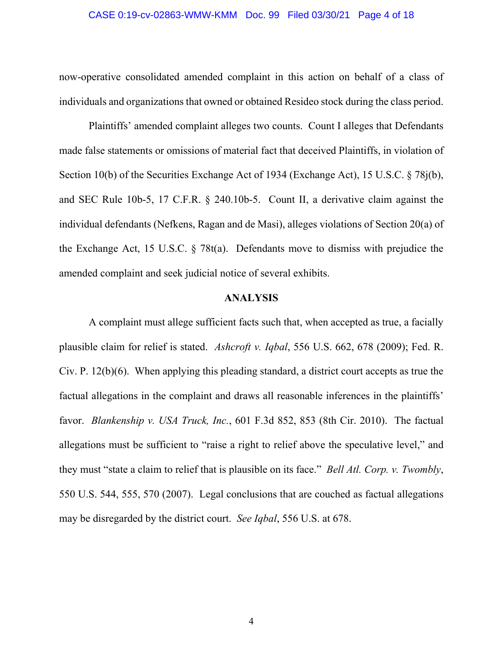#### CASE 0:19-cv-02863-WMW-KMM Doc. 99 Filed 03/30/21 Page 4 of 18

now-operative consolidated amended complaint in this action on behalf of a class of individuals and organizations that owned or obtained Resideo stock during the class period.

Plaintiffs' amended complaint alleges two counts. Count I alleges that Defendants made false statements or omissions of material fact that deceived Plaintiffs, in violation of Section 10(b) of the Securities Exchange Act of 1934 (Exchange Act), 15 U.S.C. § 78j(b), and SEC Rule 10b-5, 17 C.F.R. § 240.10b-5. Count II, a derivative claim against the individual defendants (Nefkens, Ragan and de Masi), alleges violations of Section 20(a) of the Exchange Act, 15 U.S.C. § 78t(a). Defendants move to dismiss with prejudice the amended complaint and seek judicial notice of several exhibits.

### **ANALYSIS**

A complaint must allege sufficient facts such that, when accepted as true, a facially plausible claim for relief is stated. *Ashcroft v. Iqbal*, 556 U.S. 662, 678 (2009); Fed. R. Civ. P. 12(b)(6). When applying this pleading standard, a district court accepts as true the factual allegations in the complaint and draws all reasonable inferences in the plaintiffs' favor. *Blankenship v. USA Truck, Inc.*, 601 F.3d 852, 853 (8th Cir. 2010). The factual allegations must be sufficient to "raise a right to relief above the speculative level," and they must "state a claim to relief that is plausible on its face." *Bell Atl. Corp. v. Twombly*, 550 U.S. 544, 555, 570 (2007). Legal conclusions that are couched as factual allegations may be disregarded by the district court. *See Iqbal*, 556 U.S. at 678.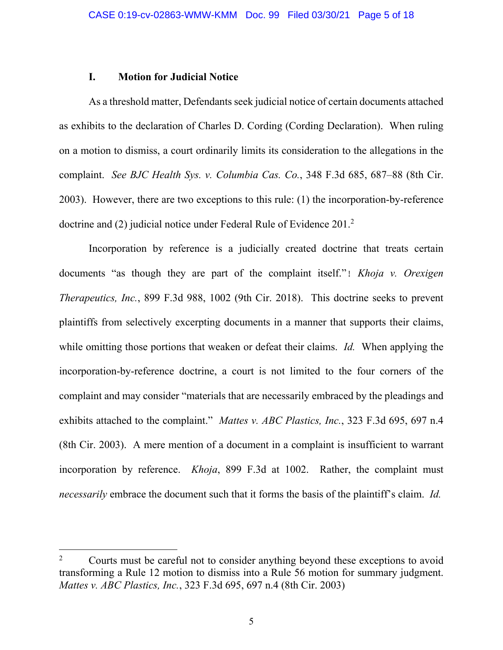### **I. Motion for Judicial Notice**

As a threshold matter, Defendants seek judicial notice of certain documents attached as exhibits to the declaration of Charles D. Cording (Cording Declaration). When ruling on a motion to dismiss, a court ordinarily limits its consideration to the allegations in the complaint. *See BJC Health Sys. v. Columbia Cas. Co.*, 348 F.3d 685, 687–88 (8th Cir. 2003). However, there are two exceptions to this rule: (1) the incorporation-by-reference doctrine and (2) judicial notice under Federal Rule of Evidence 201.<sup>2</sup>

Incorporation by reference is a judicially created doctrine that treats certain documents "as though they are part of the complaint itself." *Khoja v. Orexigen Therapeutics, Inc.*, 899 F.3d 988, 1002 (9th Cir. 2018). This doctrine seeks to prevent plaintiffs from selectively excerpting documents in a manner that supports their claims, while omitting those portions that weaken or defeat their claims. *Id.* When applying the incorporation-by-reference doctrine, a court is not limited to the four corners of the complaint and may consider "materials that are necessarily embraced by the pleadings and exhibits attached to the complaint." *Mattes v. ABC Plastics, Inc.*, 323 F.3d 695, 697 n.4 (8th Cir. 2003). A mere mention of a document in a complaint is insufficient to warrant incorporation by reference. *Khoja*, 899 F.3d at 1002. Rather, the complaint must *necessarily* embrace the document such that it forms the basis of the plaintiff's claim. *Id.* 

<sup>2</sup> Courts must be careful not to consider anything beyond these exceptions to avoid transforming a Rule 12 motion to dismiss into a Rule 56 motion for summary judgment. *Mattes v. ABC Plastics, Inc.*, 323 F.3d 695, 697 n.4 (8th Cir. 2003)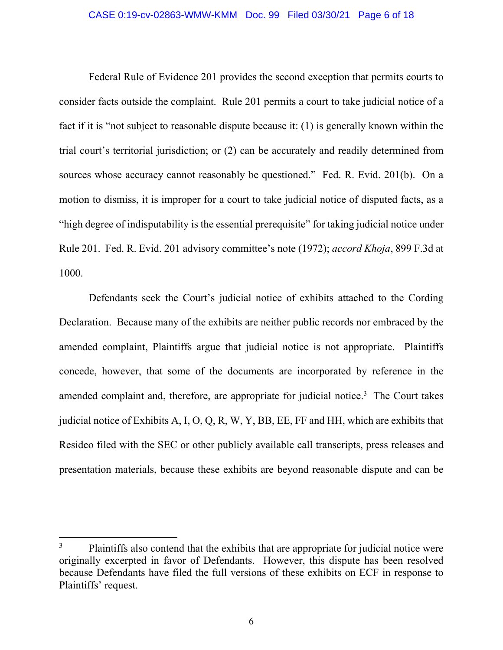Federal Rule of Evidence 201 provides the second exception that permits courts to consider facts outside the complaint. Rule 201 permits a court to take judicial notice of a fact if it is "not subject to reasonable dispute because it: (1) is generally known within the trial court's territorial jurisdiction; or (2) can be accurately and readily determined from sources whose accuracy cannot reasonably be questioned." Fed. R. Evid. 201(b). On a motion to dismiss, it is improper for a court to take judicial notice of disputed facts, as a "high degree of indisputability is the essential prerequisite" for taking judicial notice under Rule 201. Fed. R. Evid. 201 advisory committee's note (1972); *accord Khoja*, 899 F.3d at 1000.

Defendants seek the Court's judicial notice of exhibits attached to the Cording Declaration. Because many of the exhibits are neither public records nor embraced by the amended complaint, Plaintiffs argue that judicial notice is not appropriate. Plaintiffs concede, however, that some of the documents are incorporated by reference in the amended complaint and, therefore, are appropriate for judicial notice.<sup>3</sup> The Court takes judicial notice of Exhibits A, I, O, Q, R, W, Y, BB, EE, FF and HH, which are exhibits that Resideo filed with the SEC or other publicly available call transcripts, press releases and presentation materials, because these exhibits are beyond reasonable dispute and can be

<sup>3</sup> Plaintiffs also contend that the exhibits that are appropriate for judicial notice were originally excerpted in favor of Defendants. However, this dispute has been resolved because Defendants have filed the full versions of these exhibits on ECF in response to Plaintiffs' request.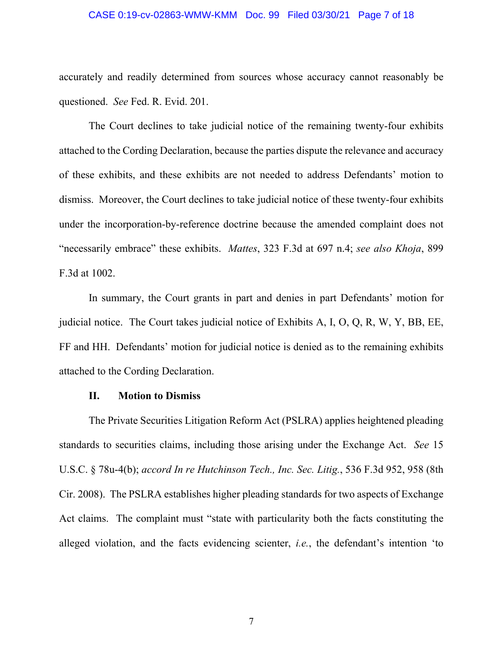### CASE 0:19-cv-02863-WMW-KMM Doc. 99 Filed 03/30/21 Page 7 of 18

accurately and readily determined from sources whose accuracy cannot reasonably be questioned. *See* Fed. R. Evid. 201.

The Court declines to take judicial notice of the remaining twenty-four exhibits attached to the Cording Declaration, because the parties dispute the relevance and accuracy of these exhibits, and these exhibits are not needed to address Defendants' motion to dismiss. Moreover, the Court declines to take judicial notice of these twenty-four exhibits under the incorporation-by-reference doctrine because the amended complaint does not "necessarily embrace" these exhibits. *Mattes*, 323 F.3d at 697 n.4; *see also Khoja*, 899 F.3d at 1002.

In summary, the Court grants in part and denies in part Defendants' motion for judicial notice. The Court takes judicial notice of Exhibits A, I, O, Q, R, W, Y, BB, EE, FF and HH. Defendants' motion for judicial notice is denied as to the remaining exhibits attached to the Cording Declaration.

### **II. Motion to Dismiss**

The Private Securities Litigation Reform Act (PSLRA) applies heightened pleading standards to securities claims, including those arising under the Exchange Act. *See* 15 U.S.C. § 78u-4(b); *accord In re Hutchinson Tech., Inc. Sec. Litig.*, 536 F.3d 952, 958 (8th Cir. 2008). The PSLRA establishes higher pleading standards for two aspects of Exchange Act claims. The complaint must "state with particularity both the facts constituting the alleged violation, and the facts evidencing scienter, *i.e.*, the defendant's intention 'to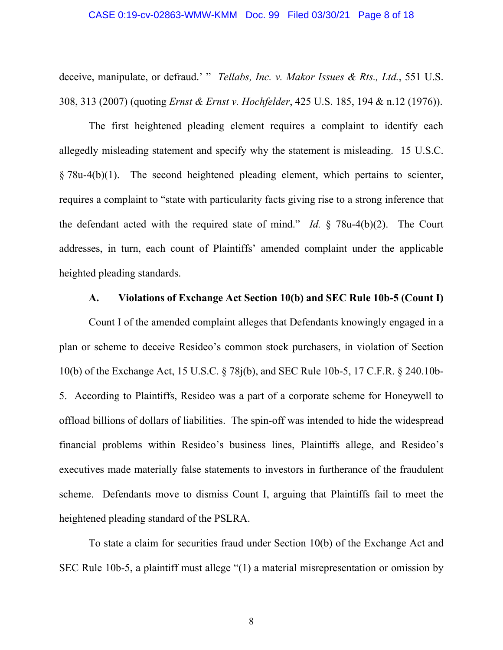#### CASE 0:19-cv-02863-WMW-KMM Doc. 99 Filed 03/30/21 Page 8 of 18

deceive, manipulate, or defraud.' " *Tellabs, Inc. v. Makor Issues & Rts., Ltd.*, 551 U.S. 308, 313 (2007) (quoting *Ernst & Ernst v. Hochfelder*, 425 U.S. 185, 194 & n.12 (1976)).

The first heightened pleading element requires a complaint to identify each allegedly misleading statement and specify why the statement is misleading. 15 U.S.C. § 78u-4(b)(1). The second heightened pleading element, which pertains to scienter, requires a complaint to "state with particularity facts giving rise to a strong inference that the defendant acted with the required state of mind." *Id.* § 78u-4(b)(2). The Court addresses, in turn, each count of Plaintiffs' amended complaint under the applicable heighted pleading standards.

### **A. Violations of Exchange Act Section 10(b) and SEC Rule 10b-5 (Count I)**

Count I of the amended complaint alleges that Defendants knowingly engaged in a plan or scheme to deceive Resideo's common stock purchasers, in violation of Section 10(b) of the Exchange Act, 15 U.S.C. § 78j(b), and SEC Rule 10b-5, 17 C.F.R. § 240.10b-5. According to Plaintiffs, Resideo was a part of a corporate scheme for Honeywell to offload billions of dollars of liabilities. The spin-off was intended to hide the widespread financial problems within Resideo's business lines, Plaintiffs allege, and Resideo's executives made materially false statements to investors in furtherance of the fraudulent scheme. Defendants move to dismiss Count I, arguing that Plaintiffs fail to meet the heightened pleading standard of the PSLRA.

To state a claim for securities fraud under Section 10(b) of the Exchange Act and SEC Rule 10b-5, a plaintiff must allege "(1) a material misrepresentation or omission by

8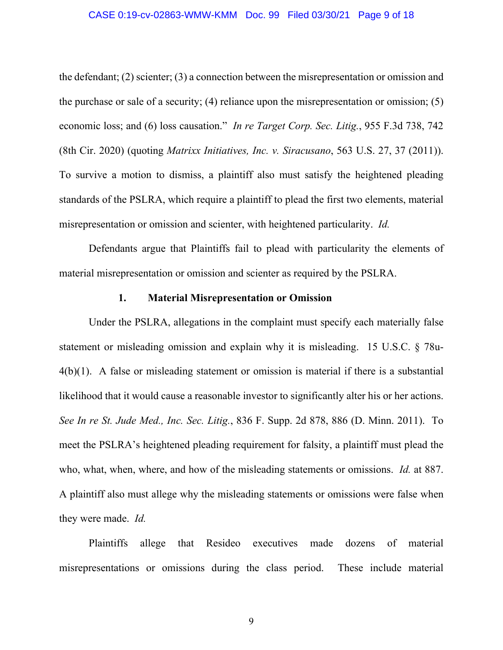the defendant; (2) scienter; (3) a connection between the misrepresentation or omission and the purchase or sale of a security; (4) reliance upon the misrepresentation or omission; (5) economic loss; and (6) loss causation." *In re Target Corp. Sec. Litig.*, 955 F.3d 738, 742 (8th Cir. 2020) (quoting *Matrixx Initiatives, Inc. v. Siracusano*, 563 U.S. 27, 37 (2011)). To survive a motion to dismiss, a plaintiff also must satisfy the heightened pleading standards of the PSLRA, which require a plaintiff to plead the first two elements, material misrepresentation or omission and scienter, with heightened particularity. *Id.*

Defendants argue that Plaintiffs fail to plead with particularity the elements of material misrepresentation or omission and scienter as required by the PSLRA.

### **1. Material Misrepresentation or Omission**

Under the PSLRA, allegations in the complaint must specify each materially false statement or misleading omission and explain why it is misleading. 15 U.S.C. § 78u-4(b)(1). A false or misleading statement or omission is material if there is a substantial likelihood that it would cause a reasonable investor to significantly alter his or her actions. *See In re St. Jude Med., Inc. Sec. Litig.*, 836 F. Supp. 2d 878, 886 (D. Minn. 2011). To meet the PSLRA's heightened pleading requirement for falsity, a plaintiff must plead the who, what, when, where, and how of the misleading statements or omissions. *Id.* at 887. A plaintiff also must allege why the misleading statements or omissions were false when they were made. *Id.* 

Plaintiffs allege that Resideo executives made dozens of material misrepresentations or omissions during the class period. These include material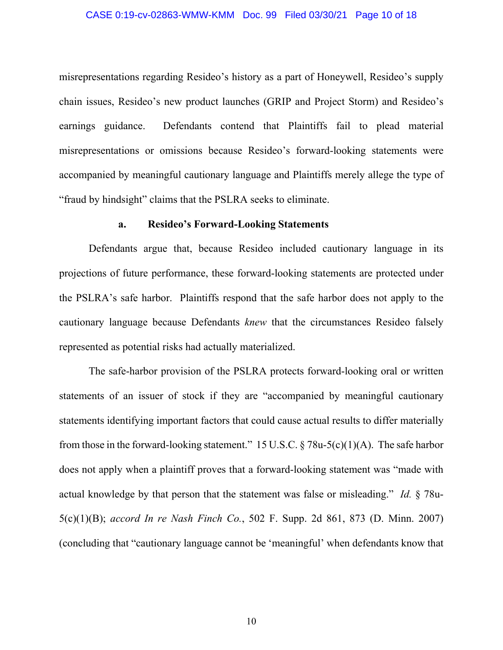### CASE 0:19-cv-02863-WMW-KMM Doc. 99 Filed 03/30/21 Page 10 of 18

misrepresentations regarding Resideo's history as a part of Honeywell, Resideo's supply chain issues, Resideo's new product launches (GRIP and Project Storm) and Resideo's earnings guidance. Defendants contend that Plaintiffs fail to plead material misrepresentations or omissions because Resideo's forward-looking statements were accompanied by meaningful cautionary language and Plaintiffs merely allege the type of "fraud by hindsight" claims that the PSLRA seeks to eliminate.

### **a. Resideo's Forward-Looking Statements**

Defendants argue that, because Resideo included cautionary language in its projections of future performance, these forward-looking statements are protected under the PSLRA's safe harbor. Plaintiffs respond that the safe harbor does not apply to the cautionary language because Defendants *knew* that the circumstances Resideo falsely represented as potential risks had actually materialized.

The safe-harbor provision of the PSLRA protects forward-looking oral or written statements of an issuer of stock if they are "accompanied by meaningful cautionary statements identifying important factors that could cause actual results to differ materially from those in the forward-looking statement." 15 U.S.C.  $\S$  78u-5(c)(1)(A). The safe harbor does not apply when a plaintiff proves that a forward-looking statement was "made with actual knowledge by that person that the statement was false or misleading." *Id.* § 78u-5(c)(1)(B); *accord In re Nash Finch Co.*, 502 F. Supp. 2d 861, 873 (D. Minn. 2007) (concluding that "cautionary language cannot be 'meaningful' when defendants know that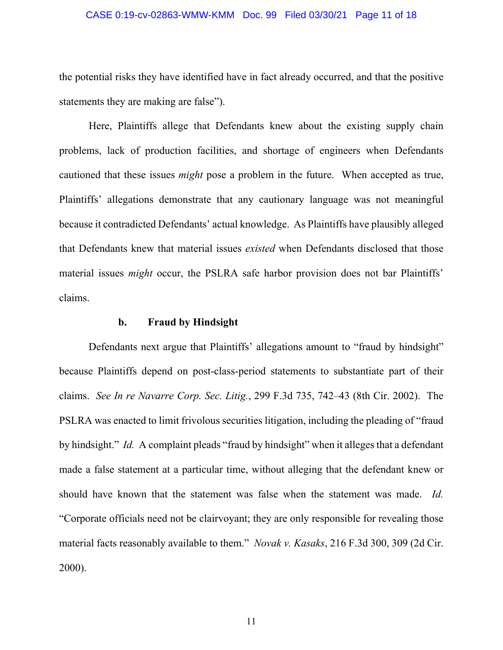### CASE 0:19-cv-02863-WMW-KMM Doc. 99 Filed 03/30/21 Page 11 of 18

the potential risks they have identified have in fact already occurred, and that the positive statements they are making are false").

Here, Plaintiffs allege that Defendants knew about the existing supply chain problems, lack of production facilities, and shortage of engineers when Defendants cautioned that these issues *might* pose a problem in the future. When accepted as true, Plaintiffs' allegations demonstrate that any cautionary language was not meaningful because it contradicted Defendants' actual knowledge. As Plaintiffs have plausibly alleged that Defendants knew that material issues *existed* when Defendants disclosed that those material issues *might* occur, the PSLRA safe harbor provision does not bar Plaintiffs' claims.

### **b. Fraud by Hindsight**

Defendants next argue that Plaintiffs' allegations amount to "fraud by hindsight" because Plaintiffs depend on post-class-period statements to substantiate part of their claims. *See In re Navarre Corp. Sec. Litig.*, 299 F.3d 735, 742–43 (8th Cir. 2002). The PSLRA was enacted to limit frivolous securities litigation, including the pleading of "fraud by hindsight." *Id.* A complaint pleads "fraud by hindsight" when it alleges that a defendant made a false statement at a particular time, without alleging that the defendant knew or should have known that the statement was false when the statement was made. *Id.*  "Corporate officials need not be clairvoyant; they are only responsible for revealing those material facts reasonably available to them." *Novak v. Kasaks*, 216 F.3d 300, 309 (2d Cir. 2000).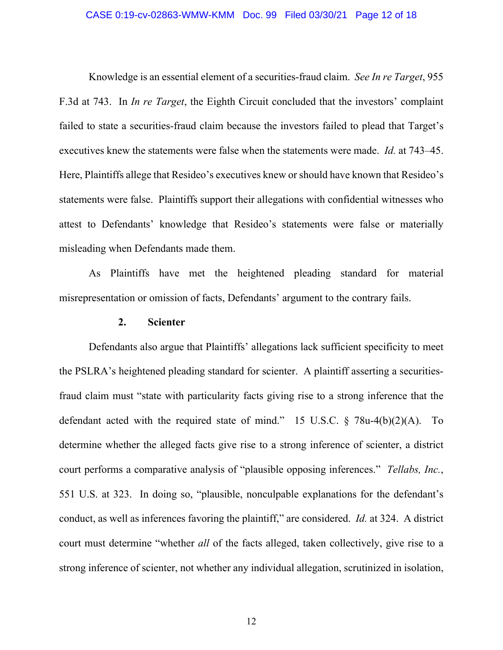Knowledge is an essential element of a securities-fraud claim. *See In re Target*, 955 F.3d at 743. In *In re Target*, the Eighth Circuit concluded that the investors' complaint failed to state a securities-fraud claim because the investors failed to plead that Target's executives knew the statements were false when the statements were made. *Id.* at 743–45. Here, Plaintiffs allege that Resideo's executives knew or should have known that Resideo's statements were false. Plaintiffs support their allegations with confidential witnesses who attest to Defendants' knowledge that Resideo's statements were false or materially misleading when Defendants made them.

As Plaintiffs have met the heightened pleading standard for material misrepresentation or omission of facts, Defendants' argument to the contrary fails.

## **2. Scienter**

Defendants also argue that Plaintiffs' allegations lack sufficient specificity to meet the PSLRA's heightened pleading standard for scienter. A plaintiff asserting a securitiesfraud claim must "state with particularity facts giving rise to a strong inference that the defendant acted with the required state of mind." 15 U.S.C. § 78u-4(b)(2)(A). To determine whether the alleged facts give rise to a strong inference of scienter, a district court performs a comparative analysis of "plausible opposing inferences." *Tellabs, Inc.*, 551 U.S. at 323. In doing so, "plausible, nonculpable explanations for the defendant's conduct, as well as inferences favoring the plaintiff," are considered. *Id.* at 324. A district court must determine "whether *all* of the facts alleged, taken collectively, give rise to a strong inference of scienter, not whether any individual allegation, scrutinized in isolation,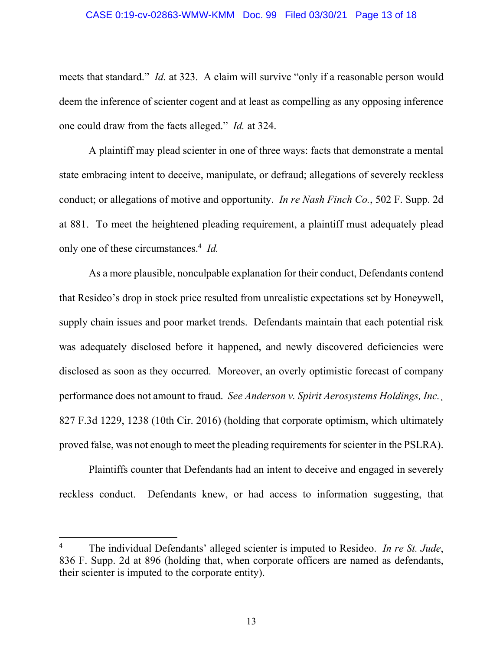### CASE 0:19-cv-02863-WMW-KMM Doc. 99 Filed 03/30/21 Page 13 of 18

meets that standard." *Id.* at 323. A claim will survive "only if a reasonable person would deem the inference of scienter cogent and at least as compelling as any opposing inference one could draw from the facts alleged." *Id.* at 324.

A plaintiff may plead scienter in one of three ways: facts that demonstrate a mental state embracing intent to deceive, manipulate, or defraud; allegations of severely reckless conduct; or allegations of motive and opportunity. *In re Nash Finch Co.*, 502 F. Supp. 2d at 881. To meet the heightened pleading requirement, a plaintiff must adequately plead only one of these circumstances.4 *Id.*

As a more plausible, nonculpable explanation for their conduct, Defendants contend that Resideo's drop in stock price resulted from unrealistic expectations set by Honeywell, supply chain issues and poor market trends. Defendants maintain that each potential risk was adequately disclosed before it happened, and newly discovered deficiencies were disclosed as soon as they occurred. Moreover, an overly optimistic forecast of company performance does not amount to fraud. *See Anderson v. Spirit Aerosystems Holdings, Inc.*¸ 827 F.3d 1229, 1238 (10th Cir. 2016) (holding that corporate optimism, which ultimately proved false, was not enough to meet the pleading requirements for scienter in the PSLRA).

Plaintiffs counter that Defendants had an intent to deceive and engaged in severely reckless conduct. Defendants knew, or had access to information suggesting, that

<sup>4</sup> The individual Defendants' alleged scienter is imputed to Resideo. *In re St. Jude*, 836 F. Supp. 2d at 896 (holding that, when corporate officers are named as defendants, their scienter is imputed to the corporate entity).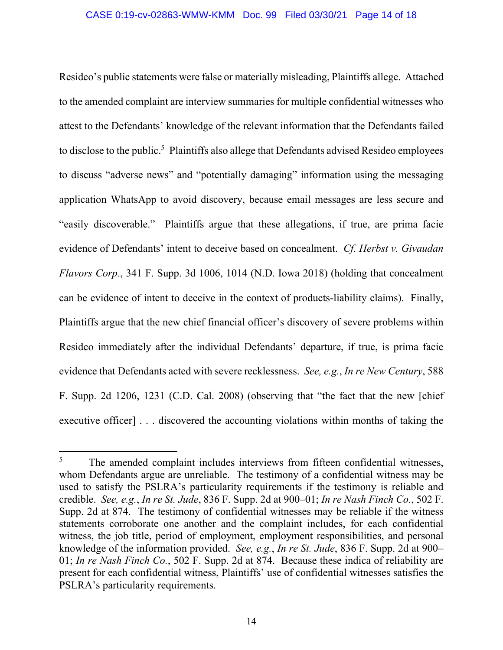Resideo's public statements were false or materially misleading, Plaintiffs allege. Attached to the amended complaint are interview summaries for multiple confidential witnesses who attest to the Defendants' knowledge of the relevant information that the Defendants failed to disclose to the public.<sup>5</sup> Plaintiffs also allege that Defendants advised Resideo employees to discuss "adverse news" and "potentially damaging" information using the messaging application WhatsApp to avoid discovery, because email messages are less secure and "easily discoverable." Plaintiffs argue that these allegations, if true, are prima facie evidence of Defendants' intent to deceive based on concealment. *Cf. Herbst v. Givaudan Flavors Corp.*, 341 F. Supp. 3d 1006, 1014 (N.D. Iowa 2018) (holding that concealment can be evidence of intent to deceive in the context of products-liability claims). Finally, Plaintiffs argue that the new chief financial officer's discovery of severe problems within Resideo immediately after the individual Defendants' departure, if true, is prima facie evidence that Defendants acted with severe recklessness. *See, e.g.*, *In re New Century*, 588 F. Supp. 2d 1206, 1231 (C.D. Cal. 2008) (observing that "the fact that the new [chief executive officer] . . . discovered the accounting violations within months of taking the

<sup>5</sup> The amended complaint includes interviews from fifteen confidential witnesses, whom Defendants argue are unreliable. The testimony of a confidential witness may be used to satisfy the PSLRA's particularity requirements if the testimony is reliable and credible. *See, e.g.*, *In re St. Jude*, 836 F. Supp. 2d at 900–01; *In re Nash Finch Co.*, 502 F. Supp. 2d at 874. The testimony of confidential witnesses may be reliable if the witness statements corroborate one another and the complaint includes, for each confidential witness, the job title, period of employment, employment responsibilities, and personal knowledge of the information provided. *See, e.g.*, *In re St. Jude*, 836 F. Supp. 2d at 900– 01; *In re Nash Finch Co.*, 502 F. Supp. 2d at 874. Because these indica of reliability are present for each confidential witness, Plaintiffs' use of confidential witnesses satisfies the PSLRA's particularity requirements.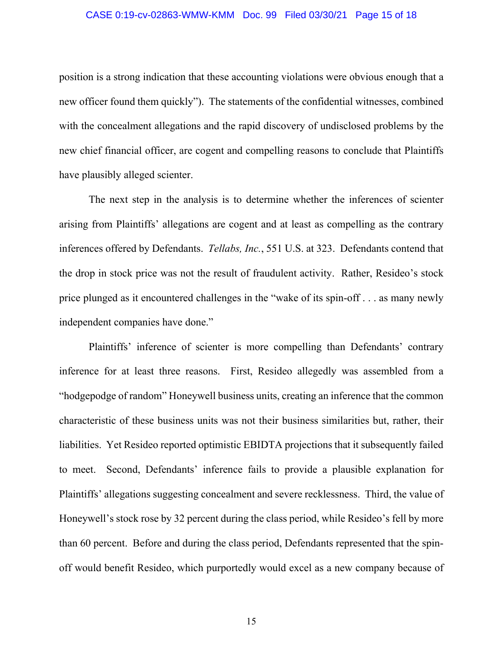#### CASE 0:19-cv-02863-WMW-KMM Doc. 99 Filed 03/30/21 Page 15 of 18

position is a strong indication that these accounting violations were obvious enough that a new officer found them quickly"). The statements of the confidential witnesses, combined with the concealment allegations and the rapid discovery of undisclosed problems by the new chief financial officer, are cogent and compelling reasons to conclude that Plaintiffs have plausibly alleged scienter.

The next step in the analysis is to determine whether the inferences of scienter arising from Plaintiffs' allegations are cogent and at least as compelling as the contrary inferences offered by Defendants. *Tellabs, Inc.*, 551 U.S. at 323. Defendants contend that the drop in stock price was not the result of fraudulent activity. Rather, Resideo's stock price plunged as it encountered challenges in the "wake of its spin-off . . . as many newly independent companies have done."

Plaintiffs' inference of scienter is more compelling than Defendants' contrary inference for at least three reasons. First, Resideo allegedly was assembled from a "hodgepodge of random" Honeywell business units, creating an inference that the common characteristic of these business units was not their business similarities but, rather, their liabilities. Yet Resideo reported optimistic EBIDTA projections that it subsequently failed to meet. Second, Defendants' inference fails to provide a plausible explanation for Plaintiffs' allegations suggesting concealment and severe recklessness. Third, the value of Honeywell's stock rose by 32 percent during the class period, while Resideo's fell by more than 60 percent. Before and during the class period, Defendants represented that the spinoff would benefit Resideo, which purportedly would excel as a new company because of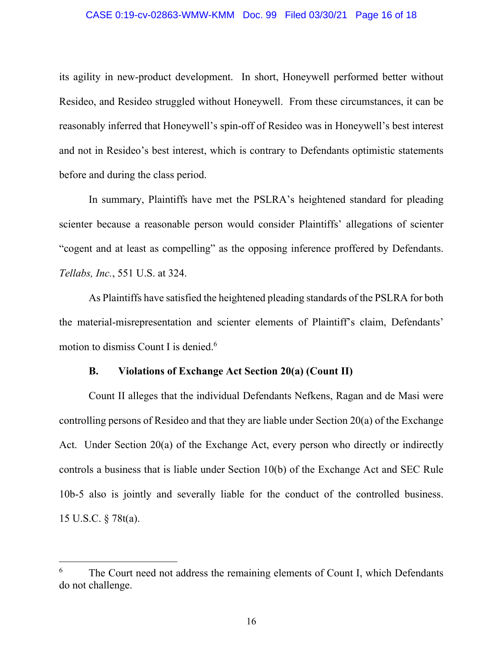### CASE 0:19-cv-02863-WMW-KMM Doc. 99 Filed 03/30/21 Page 16 of 18

its agility in new-product development. In short, Honeywell performed better without Resideo, and Resideo struggled without Honeywell. From these circumstances, it can be reasonably inferred that Honeywell's spin-off of Resideo was in Honeywell's best interest and not in Resideo's best interest, which is contrary to Defendants optimistic statements before and during the class period.

In summary, Plaintiffs have met the PSLRA's heightened standard for pleading scienter because a reasonable person would consider Plaintiffs' allegations of scienter "cogent and at least as compelling" as the opposing inference proffered by Defendants. *Tellabs, Inc.*, 551 U.S. at 324.

As Plaintiffs have satisfied the heightened pleading standards of the PSLRA for both the material-misrepresentation and scienter elements of Plaintiff's claim, Defendants' motion to dismiss Count I is denied.<sup>6</sup>

## **B. Violations of Exchange Act Section 20(a) (Count II)**

Count II alleges that the individual Defendants Nefkens, Ragan and de Masi were controlling persons of Resideo and that they are liable under Section 20(a) of the Exchange Act. Under Section 20(a) of the Exchange Act, every person who directly or indirectly controls a business that is liable under Section 10(b) of the Exchange Act and SEC Rule 10b-5 also is jointly and severally liable for the conduct of the controlled business. 15 U.S.C. § 78t(a).

<sup>6</sup> The Court need not address the remaining elements of Count I, which Defendants do not challenge.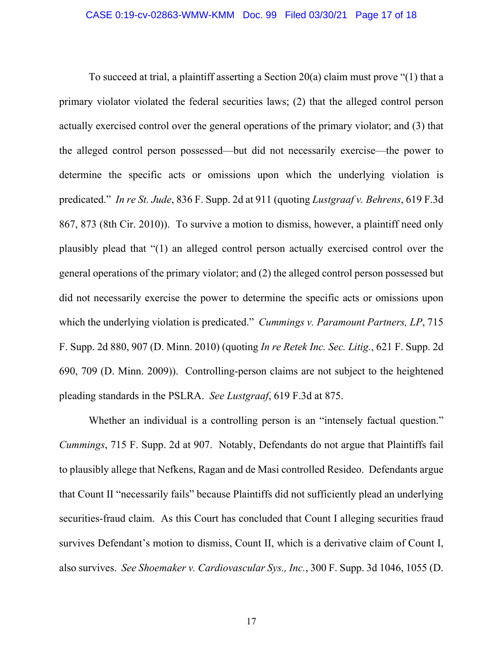To succeed at trial, a plaintiff asserting a Section 20(a) claim must prove "(1) that a primary violator violated the federal securities laws; (2) that the alleged control person actually exercised control over the general operations of the primary violator; and (3) that the alleged control person possessed—but did not necessarily exercise—the power to determine the specific acts or omissions upon which the underlying violation is predicated." *In re St. Jude*, 836 F. Supp. 2d at 911 (quoting *Lustgraaf v. Behrens*, 619 F.3d 867, 873 (8th Cir. 2010)). To survive a motion to dismiss, however, a plaintiff need only plausibly plead that "(1) an alleged control person actually exercised control over the general operations of the primary violator; and (2) the alleged control person possessed but did not necessarily exercise the power to determine the specific acts or omissions upon which the underlying violation is predicated." *Cummings v. Paramount Partners, LP*, 715 F. Supp. 2d 880, 907 (D. Minn. 2010) (quoting *In re Retek Inc. Sec. Litig.*, 621 F. Supp. 2d 690, 709 (D. Minn. 2009)). Controlling-person claims are not subject to the heightened pleading standards in the PSLRA. *See Lustgraaf*, 619 F.3d at 875.

Whether an individual is a controlling person is an "intensely factual question." *Cummings*, 715 F. Supp. 2d at 907.Notably, Defendants do not argue that Plaintiffs fail to plausibly allege that Nefkens, Ragan and de Masi controlled Resideo. Defendants argue that Count II "necessarily fails" because Plaintiffs did not sufficiently plead an underlying securities-fraud claim. As this Court has concluded that Count I alleging securities fraud survives Defendant's motion to dismiss, Count II, which is a derivative claim of Count I, also survives. *See Shoemaker v. Cardiovascular Sys., Inc.*, 300 F. Supp. 3d 1046, 1055 (D.